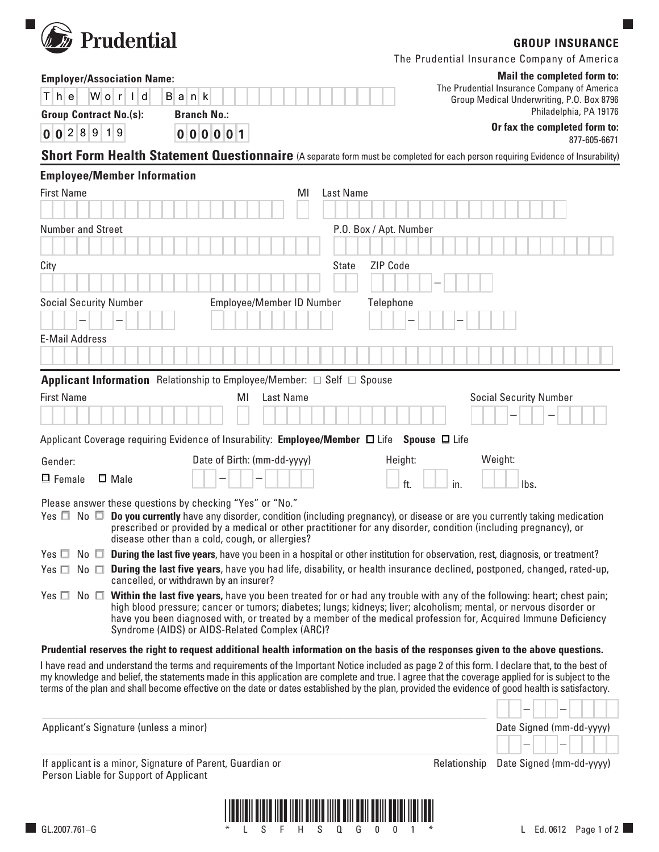

## **GROUP INSURANCE**

 $\Box$ 

| The Prudential Insurance Company of America |  |  |
|---------------------------------------------|--|--|
|---------------------------------------------|--|--|

| <b>Employer/Association Name:</b>                         |                                                                                                                                                                                                                                                                                                     |                                                                                          | Mail the completed form to: |              |                                               |                               |                          |  |  |
|-----------------------------------------------------------|-----------------------------------------------------------------------------------------------------------------------------------------------------------------------------------------------------------------------------------------------------------------------------------------------------|------------------------------------------------------------------------------------------|-----------------------------|--------------|-----------------------------------------------|-------------------------------|--------------------------|--|--|
| Wor<br>The<br>d<br>H<br>Bank                              |                                                                                                                                                                                                                                                                                                     | The Prudential Insurance Company of America<br>Group Medical Underwriting, P.O. Box 8796 |                             |              |                                               |                               |                          |  |  |
| <b>Group Contract No.(s):</b><br><b>Branch No.:</b>       |                                                                                                                                                                                                                                                                                                     |                                                                                          |                             |              | Philadelphia, PA 19176                        |                               |                          |  |  |
| 0 0 2 8 9 1 9                                             | 000001                                                                                                                                                                                                                                                                                              |                                                                                          |                             |              | Or fax the completed form to:<br>877-605-6671 |                               |                          |  |  |
|                                                           | Short Form Health Statement Questionnaire (A separate form must be completed for each person requiring Evidence of Insurability)                                                                                                                                                                    |                                                                                          |                             |              |                                               |                               |                          |  |  |
| <b>Employee/Member Information</b>                        |                                                                                                                                                                                                                                                                                                     |                                                                                          |                             |              |                                               |                               |                          |  |  |
| <b>First Name</b>                                         | MI                                                                                                                                                                                                                                                                                                  | Last Name                                                                                |                             |              |                                               |                               |                          |  |  |
|                                                           |                                                                                                                                                                                                                                                                                                     |                                                                                          |                             |              |                                               |                               |                          |  |  |
| <b>Number and Street</b>                                  | P.O. Box / Apt. Number                                                                                                                                                                                                                                                                              |                                                                                          |                             |              |                                               |                               |                          |  |  |
|                                                           |                                                                                                                                                                                                                                                                                                     |                                                                                          |                             |              |                                               |                               |                          |  |  |
| City                                                      |                                                                                                                                                                                                                                                                                                     | <b>State</b>                                                                             | <b>ZIP Code</b>             |              |                                               |                               |                          |  |  |
|                                                           |                                                                                                                                                                                                                                                                                                     |                                                                                          |                             |              |                                               |                               |                          |  |  |
| <b>Social Security Number</b>                             | Employee/Member ID Number                                                                                                                                                                                                                                                                           |                                                                                          | Telephone                   |              |                                               |                               |                          |  |  |
|                                                           |                                                                                                                                                                                                                                                                                                     |                                                                                          |                             |              |                                               |                               |                          |  |  |
| <b>E-Mail Address</b>                                     |                                                                                                                                                                                                                                                                                                     |                                                                                          |                             |              |                                               |                               |                          |  |  |
|                                                           |                                                                                                                                                                                                                                                                                                     |                                                                                          |                             |              |                                               |                               |                          |  |  |
|                                                           | <b>Applicant Information</b> Relationship to Employee/Member: $\Box$ Self $\Box$ Spouse                                                                                                                                                                                                             |                                                                                          |                             |              |                                               |                               |                          |  |  |
| <b>First Name</b>                                         | Last Name<br>ΜI                                                                                                                                                                                                                                                                                     |                                                                                          |                             |              |                                               | <b>Social Security Number</b> |                          |  |  |
|                                                           |                                                                                                                                                                                                                                                                                                     |                                                                                          |                             |              |                                               |                               |                          |  |  |
|                                                           | Applicant Coverage requiring Evidence of Insurability: Employee/Member □ Life Spouse □ Life                                                                                                                                                                                                         |                                                                                          |                             |              |                                               |                               |                          |  |  |
| Gender:                                                   | Date of Birth: (mm-dd-yyyy)                                                                                                                                                                                                                                                                         |                                                                                          | Height:                     |              | Weight:                                       |                               |                          |  |  |
| $\Box$ Female<br>$\Box$ Male                              |                                                                                                                                                                                                                                                                                                     |                                                                                          | ft.<br>in.                  |              |                                               | lbs.                          |                          |  |  |
| Please answer these questions by checking "Yes" or "No."  |                                                                                                                                                                                                                                                                                                     |                                                                                          |                             |              |                                               |                               |                          |  |  |
|                                                           | Yes $\Box$ No $\Box$ Do you currently have any disorder, condition (including pregnancy), or disease or are you currently taking medication                                                                                                                                                         |                                                                                          |                             |              |                                               |                               |                          |  |  |
|                                                           | prescribed or provided by a medical or other practitioner for any disorder, condition (including pregnancy), or<br>disease other than a cold, cough, or allergies?                                                                                                                                  |                                                                                          |                             |              |                                               |                               |                          |  |  |
|                                                           | Yes $\Box$ No $\Box$ During the last five years, have you been in a hospital or other institution for observation, rest, diagnosis, or treatment?                                                                                                                                                   |                                                                                          |                             |              |                                               |                               |                          |  |  |
|                                                           | Yes $\Box$ No $\Box$ During the last five years, have you had life, disability, or health insurance declined, postponed, changed, rated-up,                                                                                                                                                         |                                                                                          |                             |              |                                               |                               |                          |  |  |
|                                                           | cancelled, or withdrawn by an insurer?<br>Yes $\Box$ No $\Box$ Within the last five years, have you been treated for or had any trouble with any of the following: heart; chest pain;                                                                                                               |                                                                                          |                             |              |                                               |                               |                          |  |  |
|                                                           | high blood pressure; cancer or tumors; diabetes; lungs; kidneys; liver; alcoholism; mental, or nervous disorder or                                                                                                                                                                                  |                                                                                          |                             |              |                                               |                               |                          |  |  |
|                                                           | have you been diagnosed with, or treated by a member of the medical profession for, Acquired Immune Deficiency<br>Syndrome (AIDS) or AIDS-Related Complex (ARC)?                                                                                                                                    |                                                                                          |                             |              |                                               |                               |                          |  |  |
|                                                           | Prudential reserves the right to request additional health information on the basis of the responses given to the above questions.                                                                                                                                                                  |                                                                                          |                             |              |                                               |                               |                          |  |  |
|                                                           | I have read and understand the terms and requirements of the Important Notice included as page 2 of this form. I declare that, to the best of                                                                                                                                                       |                                                                                          |                             |              |                                               |                               |                          |  |  |
|                                                           | my knowledge and belief, the statements made in this application are complete and true. I agree that the coverage applied for is subject to the<br>terms of the plan and shall become effective on the date or dates established by the plan, provided the evidence of good health is satisfactory. |                                                                                          |                             |              |                                               |                               |                          |  |  |
|                                                           |                                                                                                                                                                                                                                                                                                     |                                                                                          |                             |              |                                               |                               |                          |  |  |
| Applicant's Signature (unless a minor)                    |                                                                                                                                                                                                                                                                                                     |                                                                                          |                             |              |                                               |                               | Date Signed (mm-dd-yyyy) |  |  |
|                                                           |                                                                                                                                                                                                                                                                                                     |                                                                                          |                             |              |                                               |                               |                          |  |  |
| If applicant is a minor, Signature of Parent, Guardian or |                                                                                                                                                                                                                                                                                                     |                                                                                          |                             | Relationship |                                               |                               | Date Signed (mm-dd-yyyy) |  |  |
| Person Liable for Support of Applicant                    |                                                                                                                                                                                                                                                                                                     |                                                                                          |                             |              |                                               |                               |                          |  |  |
|                                                           |                                                                                                                                                                                                                                                                                                     |                                                                                          |                             |              |                                               |                               |                          |  |  |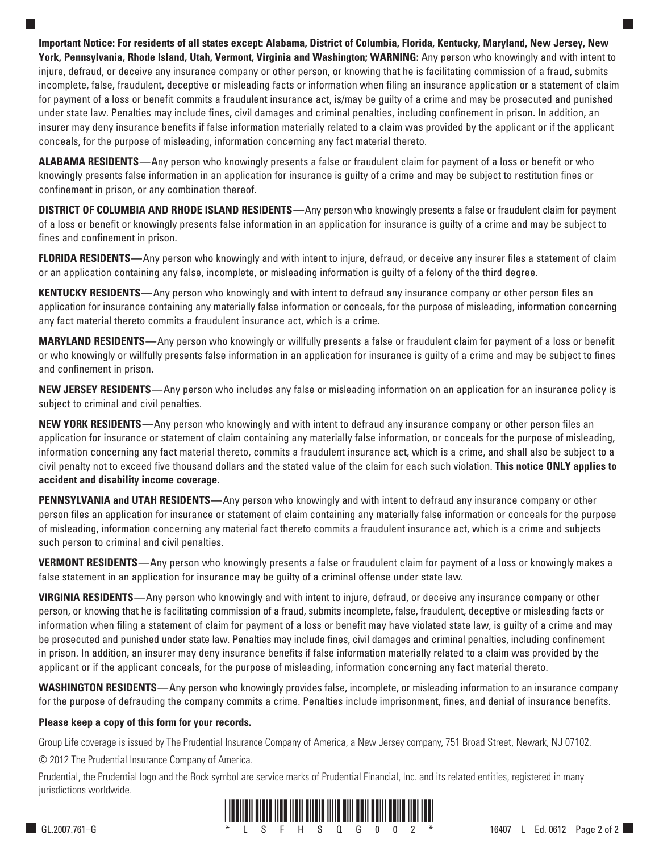**Important Notice: For residents of all states except: Alabama, District of Columbia, Florida, Kentucky, Maryland, New Jersey, New York, Pennsylvania, Rhode Island, Utah, Vermont, Virginia and Washington; WARNING:** Any person who knowingly and with intent to injure, defraud, or deceive any insurance company or other person, or knowing that he is facilitating commission of a fraud, submits incomplete, false, fraudulent, deceptive or misleading facts or information when filing an insurance application or a statement of claim for payment of a loss or benefit commits a fraudulent insurance act, is/may be guilty of a crime and may be prosecuted and punished under state law. Penalties may include fines, civil damages and criminal penalties, including confinement in prison. In addition, an insurer may deny insurance benefits if false information materially related to a claim was provided by the applicant or if the applicant conceals, for the purpose of misleading, information concerning any fact material thereto.

**ALABAMA RESIDENTS—**Any person who knowingly presents a false or fraudulent claim for payment of a loss or benefit or who knowingly presents false information in an application for insurance is guilty of a crime and may be subject to restitution fines or confinement in prison, or any combination thereof.

**DISTRICT OF COLUMBIA AND RHODE ISLAND RESIDENTS—**Any person who knowingly presents a false or fraudulent claim for payment of a loss or benefit or knowingly presents false information in an application for insurance is guilty of a crime and may be subject to fines and confinement in prison.

**FLORIDA RESIDENTS—**Any person who knowingly and with intent to injure, defraud, or deceive any insurer files a statement of claim or an application containing any false, incomplete, or misleading information is guilty of a felony of the third degree.

**KENTUCKY RESIDENTS—**Any person who knowingly and with intent to defraud any insurance company or other person files an application for insurance containing any materially false information or conceals, for the purpose of misleading, information concerning any fact material thereto commits a fraudulent insurance act, which is a crime.

**MARYLAND RESIDENTS—**Any person who knowingly or willfully presents a false or fraudulent claim for payment of a loss or benefit or who knowingly or willfully presents false information in an application for insurance is guilty of a crime and may be subject to fines and confinement in prison.

**NEW JERSEY RESIDENTS—**Any person who includes any false or misleading information on an application for an insurance policy is subject to criminal and civil penalties.

**NEW YORK RESIDENTS—**Any person who knowingly and with intent to defraud any insurance company or other person files an application for insurance or statement of claim containing any materially false information, or conceals for the purpose of misleading, information concerning any fact material thereto, commits a fraudulent insurance act, which is a crime, and shall also be subject to a civil penalty not to exceed five thousand dollars and the stated value of the claim for each such violation. **This notice ONLY applies to accident and disability income coverage.** 

**PENNSYLVANIA and UTAH RESIDENTS—**Any person who knowingly and with intent to defraud any insurance company or other person files an application for insurance or statement of claim containing any materially false information or conceals for the purpose of misleading, information concerning any material fact thereto commits a fraudulent insurance act, which is a crime and subjects such person to criminal and civil penalties.

**VERMONT RESIDENTS—**Any person who knowingly presents a false or fraudulent claim for payment of a loss or knowingly makes a false statement in an application for insurance may be guilty of a criminal offense under state law.

**VIRGINIA RESIDENTS—**Any person who knowingly and with intent to injure, defraud, or deceive any insurance company or other person, or knowing that he is facilitating commission of a fraud, submits incomplete, false, fraudulent, deceptive or misleading facts or information when filing a statement of claim for payment of a loss or benefit may have violated state law, is guilty of a crime and may be prosecuted and punished under state law. Penalties may include fines, civil damages and criminal penalties, including confinement in prison. In addition, an insurer may deny insurance benefits if false information materially related to a claim was provided by the applicant or if the applicant conceals, for the purpose of misleading, information concerning any fact material thereto.

**WASHINGTON RESIDENTS—**Any person who knowingly provides false, incomplete, or misleading information to an insurance company for the purpose of defrauding the company commits a crime. Penalties include imprisonment, fines, and denial of insurance benefits.

## **Please keep a copy of this form for your records.**

Group Life coverage is issued by The Prudential Insurance Company of America, a New Jersey company, 751 Broad Street, Newark, NJ 07102.

© 2012 The Prudential Insurance Company of America.

Prudential, the Prudential logo and the Rock symbol are service marks of Prudential Financial, Inc. and its related entities, registered in many jurisdictions worldwide.